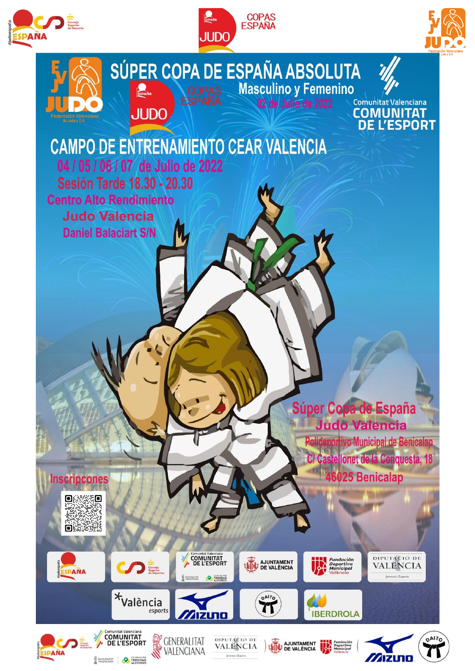





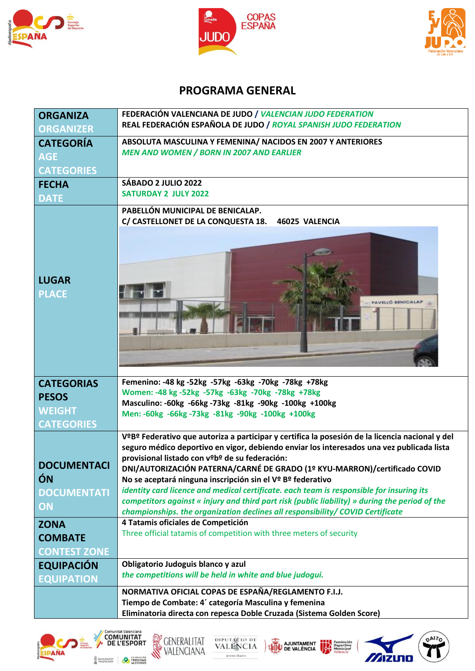





## **PROGRAMA GENERAL**

| <b>ORGANIZA</b><br><b>ORGANIZER</b>                  | FEDERACIÓN VALENCIANA DE JUDO / VALENCIAN JUDO FEDERATION<br>REAL FEDERACIÓN ESPAÑOLA DE JUDO / ROYAL SPANISH JUDO FEDERATION                                                                                                                                                                                                                                                                                                                                                                                                                                                                                                                                                                      |  |
|------------------------------------------------------|----------------------------------------------------------------------------------------------------------------------------------------------------------------------------------------------------------------------------------------------------------------------------------------------------------------------------------------------------------------------------------------------------------------------------------------------------------------------------------------------------------------------------------------------------------------------------------------------------------------------------------------------------------------------------------------------------|--|
| <b>CATEGORÍA</b><br><b>AGE</b><br><b>CATEGORIES</b>  | ABSOLUTA MASCULINA Y FEMENINA/ NACIDOS EN 2007 Y ANTERIORES<br><b>MEN AND WOMEN / BORN IN 2007 AND EARLIER</b>                                                                                                                                                                                                                                                                                                                                                                                                                                                                                                                                                                                     |  |
| <b>FECHA</b><br><b>DATE</b>                          | SÁBADO 2 JULIO 2022<br><b>SATURDAY 2 JULY 2022</b>                                                                                                                                                                                                                                                                                                                                                                                                                                                                                                                                                                                                                                                 |  |
| <b>LUGAR</b><br><b>PLACE</b>                         | PABELLÓN MUNICIPAL DE BENICALAP.<br>C/ CASTELLONET DE LA CONQUESTA 18.<br>46025 VALENCIA                                                                                                                                                                                                                                                                                                                                                                                                                                                                                                                                                                                                           |  |
| <b>CATEGORIAS</b>                                    | Femenino: -48 kg -52kg -57kg -63kg -70kg -78kg +78kg                                                                                                                                                                                                                                                                                                                                                                                                                                                                                                                                                                                                                                               |  |
| <b>PESOS</b>                                         | Women: -48 kg -52kg -57kg -63kg -70kg -78kg +78kg<br>Masculino: -60kg -66kg -73kg -81kg -90kg -100kg +100kg                                                                                                                                                                                                                                                                                                                                                                                                                                                                                                                                                                                        |  |
| <b>WEIGHT</b>                                        | Men: -60kg -66kg -73kg -81kg -90kg -100kg +100kg                                                                                                                                                                                                                                                                                                                                                                                                                                                                                                                                                                                                                                                   |  |
| <b>CATEGORIES</b>                                    |                                                                                                                                                                                                                                                                                                                                                                                                                                                                                                                                                                                                                                                                                                    |  |
| <b>DOCUMENTACI</b><br>ÓN<br><b>DOCUMENTATI</b><br>ON | V <sup>o</sup> B <sup>o</sup> Federativo que autoriza a participar y certifica la posesión de la licencia nacional y del<br>seguro médico deportivo en vigor, debiendo enviar los interesados una vez publicada lista<br>provisional listado con vºbº de su federación:<br>DNI/AUTORIZACIÓN PATERNA/CARNÉ DE GRADO (1º KYU-MARRON)/certificado COVID<br>No se aceptará ninguna inscripción sin el Vº Bº federativo<br>identity card licence and medical certificate. each team is responsible for insuring its<br>competitors against « injury and third part risk (public liability) » during the period of the<br>championships. the organization declines all responsibility/ COVID Certificate |  |
| <b>ZONA</b>                                          | 4 Tatamis oficiales de Competición                                                                                                                                                                                                                                                                                                                                                                                                                                                                                                                                                                                                                                                                 |  |
| <b>COMBATE</b>                                       | Three official tatamis of competition with three meters of security                                                                                                                                                                                                                                                                                                                                                                                                                                                                                                                                                                                                                                |  |
| <b>CONTEST ZONE</b>                                  |                                                                                                                                                                                                                                                                                                                                                                                                                                                                                                                                                                                                                                                                                                    |  |
| <b>EQUIPACIÓN</b>                                    | Obligatorio Judoguis blanco y azul                                                                                                                                                                                                                                                                                                                                                                                                                                                                                                                                                                                                                                                                 |  |
| <b>EQUIPATION</b>                                    | the competitions will be held in white and blue judogui.                                                                                                                                                                                                                                                                                                                                                                                                                                                                                                                                                                                                                                           |  |
|                                                      | NORMATIVA OFICIAL COPAS DE ESPAÑA/REGLAMENTO F.I.J.                                                                                                                                                                                                                                                                                                                                                                                                                                                                                                                                                                                                                                                |  |
|                                                      | Tiempo de Combate: 4' categoría Masculina y femenina                                                                                                                                                                                                                                                                                                                                                                                                                                                                                                                                                                                                                                               |  |
|                                                      | Eliminatoria directa con repesca Doble Cruzada (Sistema Golden Score)                                                                                                                                                                                                                                                                                                                                                                                                                                                                                                                                                                                                                              |  |









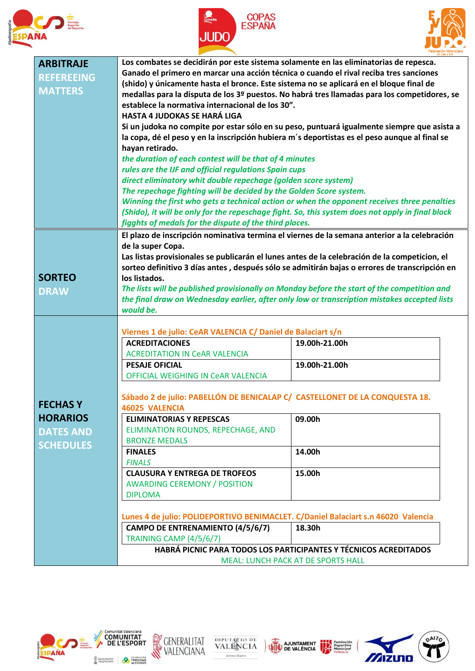





DAITO

71

mizuno

|                   |                                                                                                                                                                                                                                                           | de Judo y D.A                                                                                 |  |  |
|-------------------|-----------------------------------------------------------------------------------------------------------------------------------------------------------------------------------------------------------------------------------------------------------|-----------------------------------------------------------------------------------------------|--|--|
| <b>ARBITRAJE</b>  | Los combates se decidirán por este sistema solamente en las eliminatorias de repesca.                                                                                                                                                                     |                                                                                               |  |  |
|                   | Ganado el primero en marcar una acción técnica o cuando el rival reciba tres sanciones                                                                                                                                                                    |                                                                                               |  |  |
| <b>REFEREEING</b> | (shido) y únicamente hasta el bronce. Este sistema no se aplicará en el bloque final de                                                                                                                                                                   |                                                                                               |  |  |
| <b>MATTERS</b>    |                                                                                                                                                                                                                                                           | medallas para la disputa de los 3º puestos. No habrá tres llamadas para los competidores, se  |  |  |
|                   |                                                                                                                                                                                                                                                           |                                                                                               |  |  |
|                   | establece la normativa internacional de los 30".                                                                                                                                                                                                          |                                                                                               |  |  |
|                   | <b>HASTA 4 JUDOKAS SE HARÁ LIGA</b>                                                                                                                                                                                                                       |                                                                                               |  |  |
|                   |                                                                                                                                                                                                                                                           | Si un judoka no compite por estar sólo en su peso, puntuará igualmente siempre que asista a   |  |  |
|                   |                                                                                                                                                                                                                                                           |                                                                                               |  |  |
|                   |                                                                                                                                                                                                                                                           | la copa, dé el peso y en la inscripción hubiera m's deportistas es el peso aunque al final se |  |  |
|                   | hayan retirado.                                                                                                                                                                                                                                           |                                                                                               |  |  |
|                   | the duration of each contest will be that of 4 minutes                                                                                                                                                                                                    |                                                                                               |  |  |
|                   | rules are the IJF and official regulations Spain cups                                                                                                                                                                                                     |                                                                                               |  |  |
|                   | direct eliminatory whit double repechage (golden score system)                                                                                                                                                                                            |                                                                                               |  |  |
|                   | The repechage fighting will be decided by the Golden Score system.                                                                                                                                                                                        |                                                                                               |  |  |
|                   | Winning the first who gets a technical action or when the opponent receives three penalties<br>(Shido), it will be only for the repeschage fight. So, this system does not apply in final block<br>figghts of medals for the dispute of the third places. |                                                                                               |  |  |
|                   |                                                                                                                                                                                                                                                           |                                                                                               |  |  |
|                   |                                                                                                                                                                                                                                                           |                                                                                               |  |  |
|                   |                                                                                                                                                                                                                                                           |                                                                                               |  |  |
|                   | El plazo de inscripción nominativa termina el viernes de la semana anterior a la celebración                                                                                                                                                              |                                                                                               |  |  |
|                   | de la super Copa.                                                                                                                                                                                                                                         |                                                                                               |  |  |
|                   |                                                                                                                                                                                                                                                           |                                                                                               |  |  |
|                   | Las listas provisionales se publicarán el lunes antes de la celebración de la competicion, el                                                                                                                                                             |                                                                                               |  |  |
|                   | sorteo definitivo 3 días antes, después sólo se admitirán bajas o errores de transcripción en                                                                                                                                                             |                                                                                               |  |  |
| <b>SORTEO</b>     | los listados.                                                                                                                                                                                                                                             |                                                                                               |  |  |
| <b>DRAW</b>       | The lists will be published provisionally on Monday before the start of the competition and                                                                                                                                                               |                                                                                               |  |  |
|                   | the final draw on Wednesday earlier, after only low or transcription mistakes accepted lists                                                                                                                                                              |                                                                                               |  |  |
|                   | would be.                                                                                                                                                                                                                                                 |                                                                                               |  |  |
|                   |                                                                                                                                                                                                                                                           |                                                                                               |  |  |
|                   |                                                                                                                                                                                                                                                           |                                                                                               |  |  |
|                   | Viernes 1 de julio: CeAR VALENCIA C/ Daniel de Balaciart s/n                                                                                                                                                                                              |                                                                                               |  |  |
|                   | <b>ACREDITACIONES</b>                                                                                                                                                                                                                                     | 19.00h-21.00h                                                                                 |  |  |
|                   | <b>ACREDITATION IN CeAR VALENCIA</b>                                                                                                                                                                                                                      |                                                                                               |  |  |
|                   | <b>PESAJE OFICIAL</b>                                                                                                                                                                                                                                     | 19.00h-21.00h                                                                                 |  |  |
|                   | OFFICIAL WEIGHING IN CeAR VALENCIA                                                                                                                                                                                                                        |                                                                                               |  |  |
|                   |                                                                                                                                                                                                                                                           |                                                                                               |  |  |
|                   |                                                                                                                                                                                                                                                           |                                                                                               |  |  |
|                   | Sábado 2 de julio: PABELLÓN DE BENICALAP C/ CASTELLONET DE LA CONQUESTA 18.                                                                                                                                                                               |                                                                                               |  |  |
| <b>FECHASY</b>    | <b>46025 VALENCIA</b>                                                                                                                                                                                                                                     |                                                                                               |  |  |
| <b>HORARIOS</b>   | <b>ELIMINATORIAS Y REPESCAS</b>                                                                                                                                                                                                                           | 09.00h                                                                                        |  |  |
|                   | ELIMINATION ROUNDS, REPECHAGE, AND                                                                                                                                                                                                                        |                                                                                               |  |  |
| <b>DATES AND</b>  | <b>BRONZE MEDALS</b>                                                                                                                                                                                                                                      |                                                                                               |  |  |
| <b>SCHEDULES</b>  |                                                                                                                                                                                                                                                           |                                                                                               |  |  |
|                   | <b>FINALES</b>                                                                                                                                                                                                                                            | 14.00h                                                                                        |  |  |
|                   | <b>FINALS</b>                                                                                                                                                                                                                                             |                                                                                               |  |  |
|                   | <b>CLAUSURA Y ENTREGA DE TROFEOS</b>                                                                                                                                                                                                                      | 15.00h                                                                                        |  |  |
|                   | <b>AWARDING CEREMONY / POSITION</b>                                                                                                                                                                                                                       |                                                                                               |  |  |
|                   |                                                                                                                                                                                                                                                           |                                                                                               |  |  |
|                   | <b>DIPLOMA</b>                                                                                                                                                                                                                                            |                                                                                               |  |  |
|                   |                                                                                                                                                                                                                                                           |                                                                                               |  |  |
|                   | Lunes 4 de julio: POLIDEPORTIVO BENIMACLET. C/Daniel Balaciart s.n 46020 Valencia                                                                                                                                                                         |                                                                                               |  |  |
|                   | CAMPO DE ENTRENAMIENTO (4/5/6/7)                                                                                                                                                                                                                          | 18.30h                                                                                        |  |  |
|                   | TRAINING CAMP (4/5/6/7)                                                                                                                                                                                                                                   |                                                                                               |  |  |
|                   |                                                                                                                                                                                                                                                           |                                                                                               |  |  |
|                   | HABRÁ PICNIC PARA TODOS LOS PARTICIPANTES Y TÉCNICOS ACREDITADOS<br><b>MEAL: LUNCH PACK AT DE SPORTS HALL</b>                                                                                                                                             |                                                                                               |  |  |
|                   |                                                                                                                                                                                                                                                           |                                                                                               |  |  |





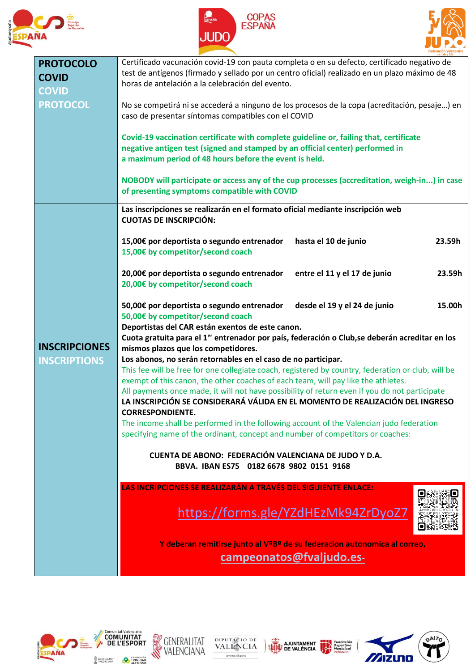





| <b>PROTOCOLO</b>     | Certificado vacunación covid-19 con pauta completa o en su defecto, certificado negativo de                |  |  |
|----------------------|------------------------------------------------------------------------------------------------------------|--|--|
|                      | test de antígenos (firmado y sellado por un centro oficial) realizado en un plazo máximo de 48             |  |  |
| <b>COVID</b>         | horas de antelación a la celebración del evento.                                                           |  |  |
| <b>COVID</b>         |                                                                                                            |  |  |
|                      |                                                                                                            |  |  |
| <b>PROTOCOL</b>      | No se competirá ni se accederá a ninguno de los procesos de la copa (acreditación, pesaje) en              |  |  |
|                      | caso de presentar síntomas compatibles con el COVID                                                        |  |  |
|                      |                                                                                                            |  |  |
|                      | Covid-19 vaccination certificate with complete guideline or, failing that, certificate                     |  |  |
|                      |                                                                                                            |  |  |
|                      | negative antigen test (signed and stamped by an official center) performed in                              |  |  |
|                      | a maximum period of 48 hours before the event is held.                                                     |  |  |
|                      |                                                                                                            |  |  |
|                      | NOBODY will participate or access any of the cup processes (accreditation, weigh-in) in case               |  |  |
|                      | of presenting symptoms compatible with COVID                                                               |  |  |
|                      |                                                                                                            |  |  |
|                      | Las inscripciones se realizarán en el formato oficial mediante inscripción web                             |  |  |
|                      | <b>CUOTAS DE INSCRIPCIÓN:</b>                                                                              |  |  |
|                      |                                                                                                            |  |  |
|                      |                                                                                                            |  |  |
|                      | 15,00€ por deportista o segundo entrenador<br>hasta el 10 de junio<br>23.59h                               |  |  |
|                      | 15,00€ by competitor/second coach                                                                          |  |  |
|                      |                                                                                                            |  |  |
|                      | 20,00€ por deportista o segundo entrenador<br>entre el 11 y el 17 de junio<br>23.59h                       |  |  |
|                      | 20,00€ by competitor/second coach                                                                          |  |  |
|                      |                                                                                                            |  |  |
|                      |                                                                                                            |  |  |
|                      | 50,00€ por deportista o segundo entrenador<br>desde el 19 y el 24 de junio<br>15.00h                       |  |  |
|                      | 50,00€ by competitor/second coach                                                                          |  |  |
|                      | Deportistas del CAR están exentos de este canon.                                                           |  |  |
|                      | Cuota gratuita para el 1 <sup>er</sup> entrenador por país, federación o Club, se deberán acreditar en los |  |  |
| <b>INSCRIPCIONES</b> | mismos plazos que los competidores.                                                                        |  |  |
|                      |                                                                                                            |  |  |
| <b>INSCRIPTIONS</b>  | Los abonos, no serán retornables en el caso de no participar.                                              |  |  |
|                      | This fee will be free for one collegiate coach, registered by country, federation or club, will be         |  |  |
|                      | exempt of this canon, the other coaches of each team, will pay like the athletes.                          |  |  |
|                      | All payments once made, it will not have possibility of return even if you do not participate              |  |  |
|                      | LA INSCRIPCIÓN SE CONSIDERARÁ VÁLIDA EN EL MOMENTO DE REALIZACIÓN DEL INGRESO                              |  |  |
|                      | <b>CORRESPONDIENTE.</b>                                                                                    |  |  |
|                      | The income shall be performed in the following account of the Valencian judo federation                    |  |  |
|                      |                                                                                                            |  |  |
|                      | specifying name of the ordinant, concept and number of competitors or coaches:                             |  |  |
|                      |                                                                                                            |  |  |
|                      | CUENTA DE ABONO: FEDERACIÓN VALENCIANA DE JUDO Y D.A.                                                      |  |  |
|                      | BBVA. IBAN ES75 0182 6678 9802 0151 9168                                                                   |  |  |
|                      |                                                                                                            |  |  |
|                      | LAS INCRIPCIONES SE REALIZARÁN A TRAVÉS DEL SIGUIENTE ENLACE:                                              |  |  |
|                      |                                                                                                            |  |  |
|                      |                                                                                                            |  |  |
|                      | https://forms.gle/YZdHEzMk94ZrDyoZ7                                                                        |  |  |
|                      |                                                                                                            |  |  |
|                      |                                                                                                            |  |  |
|                      | Y deberan remitirse junto al VºBº de su federacion autonomica al correo,                                   |  |  |
|                      |                                                                                                            |  |  |
|                      | campeonatos@fvaljudo.es-                                                                                   |  |  |
|                      |                                                                                                            |  |  |









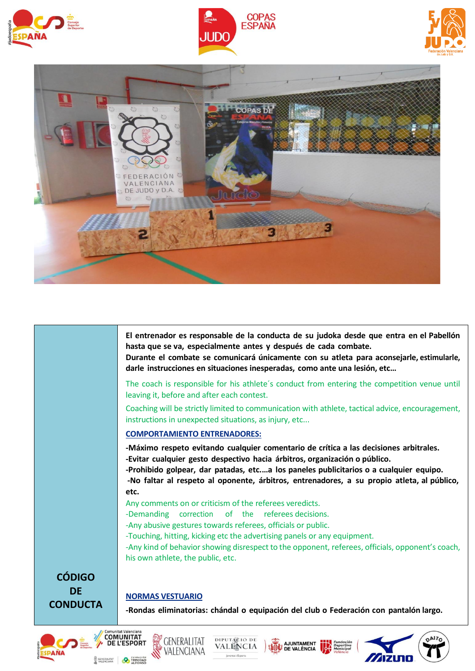







**El entrenador es responsable de la conducta de su judoka desde que entra en el Pabellón hasta que se va, especialmente antes y después de cada combate.**

**Durante el combate se comunicará únicamente con su atleta para aconsejarle, estimularle, darle instrucciones en situaciones inesperadas, como ante una lesión, etc…**

The coach is responsible for his athlete´s conduct from entering the competition venue until leaving it, before and after each contest.

Coaching will be strictly limited to communication with athlete, tactical advice, encouragement, instructions in unexpected situations, as injury, etc...

## **COMPORTAMIENTO ENTRENADORES:**

**-Máximo respeto evitando cualquier comentario de crítica a las decisiones arbitrales. -Evitar cualquier gesto despectivo hacia árbitros, organización o público.**

**-Prohibido golpear, dar patadas, etc.…a los paneles publicitarios o a cualquier equipo. -No faltar al respeto al oponente, árbitros, entrenadores, a su propio atleta, al público, etc.**

Any comments on or criticism of the referees veredicts.

-Demanding correction of the referees decisions.

-Any abusive gestures towards referees, officials or public.

-Touching, hitting, kicking etc the advertising panels or any equipment.

-Any kind of behavior showing disrespect to the opponent, referees, officials, opponent's coach, his own athlete, the public, etc.

**CÓDIGO DE CONDUCTA**

## **NORMAS VESTUARIO**

**-Rondas eliminatorias: chándal o equipación del club o Federación con pantalón largo.**

**A.IUNTAMENT** 

**DE VALÈNCIA**